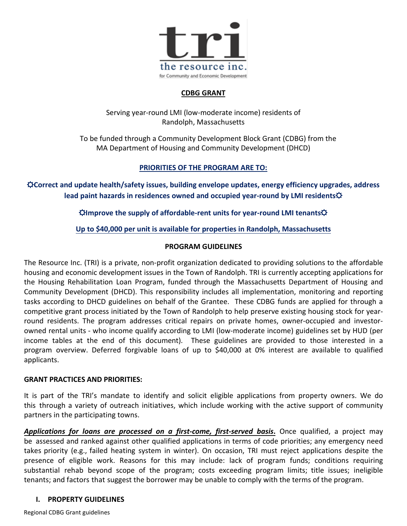

#### **CDBG GRANT**

Serving year-round LMI (low-moderate income) residents of Randolph, Massachusetts

 To be funded through a Community Development Block Grant (CDBG) from the MA Department of Housing and Community Development (DHCD)

## **PRIORITIES OF THE PROGRAM ARE TO:**

☼**Correct and update health/safety issues, building envelope updates, energy efficiency upgrades, address lead paint hazards in residences owned and occupied year-round by LMI residents** $\varphi$ 

☼**Improve the supply of affordable-rent units for year-round LMI tenants**☼

## **Up to \$40,000 per unit is available for properties in Randolph, Massachusetts**

#### **PROGRAM GUIDELINES**

The Resource Inc. (TRI) is a private, non-profit organization dedicated to providing solutions to the affordable housing and economic development issues in the Town of Randolph. TRI is currently accepting applications for the Housing Rehabilitation Loan Program, funded through the Massachusetts Department of Housing and Community Development (DHCD). This responsibility includes all implementation, monitoring and reporting tasks according to DHCD guidelines on behalf of the Grantee. These CDBG funds are applied for through a competitive grant process initiated by the Town of Randolph to help preserve existing housing stock for yearround residents. The program addresses critical repairs on private homes, owner-occupied and investorowned rental units - who income qualify according to LMI (low-moderate income) guidelines set by HUD (per income tables at the end of this document). These guidelines are provided to those interested in a program overview. Deferred forgivable loans of up to \$40,000 at 0% interest are available to qualified applicants.

#### **GRANT PRACTICES AND PRIORITIES:**

It is part of the TRI's mandate to identify and solicit eligible applications from property owners. We do this through a variety of outreach initiatives, which include working with the active support of community partners in the participating towns.

*Applications for loans are processed on a first-come, first-served basis***.** Once qualified, a project may be assessed and ranked against other qualified applications in terms of code priorities; any emergency need takes priority (e.g., failed heating system in winter). On occasion, TRI must reject applications despite the presence of eligible work. Reasons for this may include: lack of program funds; conditions requiring substantial rehab beyond scope of the program; costs exceeding program limits; title issues; ineligible tenants; and factors that suggest the borrower may be unable to comply with the terms of the program.

#### **I. PROPERTY GUIDELINES**

Regional CDBG Grant guidelines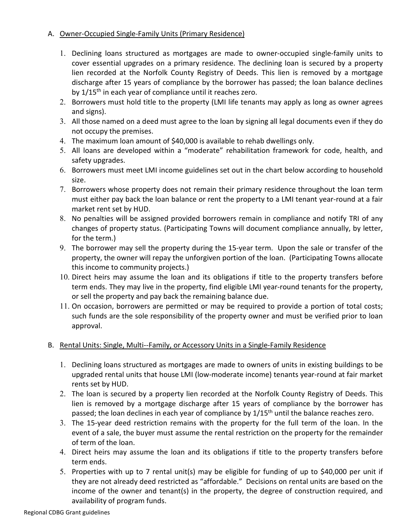#### A. Owner-Occupied Single-Family Units (Primary Residence)

- 1. Declining loans structured as mortgages are made to owner-occupied single-family units to cover essential upgrades on a primary residence. The declining loan is secured by a property lien recorded at the Norfolk County Registry of Deeds. This lien is removed by a mortgage discharge after 15 years of compliance by the borrower has passed; the loan balance declines by 1/15<sup>th</sup> in each year of compliance until it reaches zero.
- 2. Borrowers must hold title to the property (LMI life tenants may apply as long as owner agrees and signs).
- 3. All those named on a deed must agree to the loan by signing all legal documents even if they do not occupy the premises.
- 4. The maximum loan amount of \$40,000 is available to rehab dwellings only.
- 5. All loans are developed within a "moderate" rehabilitation framework for code, health, and safety upgrades.
- 6. Borrowers must meet LMI income guidelines set out in the chart below according to household size.
- 7. Borrowers whose property does not remain their primary residence throughout the loan term must either pay back the loan balance or rent the property to a LMI tenant year-round at a fair market rent set by HUD.
- 8. No penalties will be assigned provided borrowers remain in compliance and notify TRI of any changes of property status. (Participating Towns will document compliance annually, by letter, for the term.)
- 9. The borrower may sell the property during the 15-year term. Upon the sale or transfer of the property, the owner will repay the unforgiven portion of the loan. (Participating Towns allocate this income to community projects.)
- 10. Direct heirs may assume the loan and its obligations if title to the property transfers before term ends. They may live in the property, find eligible LMI year-round tenants for the property, or sell the property and pay back the remaining balance due.
- 11. On occasion, borrowers are permitted or may be required to provide a portion of total costs; such funds are the sole responsibility of the property owner and must be verified prior to loan approval.

#### B. Rental Units: Single, Multi--Family, or Accessory Units in a Single-Family Residence

- 1. Declining loans structured as mortgages are made to owners of units in existing buildings to be upgraded rental units that house LMI (low-moderate income) tenants year-round at fair market rents set by HUD.
- 2. The loan is secured by a property lien recorded at the Norfolk County Registry of Deeds. This lien is removed by a mortgage discharge after 15 years of compliance by the borrower has passed; the loan declines in each year of compliance by 1/15<sup>th</sup> until the balance reaches zero.
- 3. The 15-year deed restriction remains with the property for the full term of the loan. In the event of a sale, the buyer must assume the rental restriction on the property for the remainder of term of the loan.
- 4. Direct heirs may assume the loan and its obligations if title to the property transfers before term ends.
- 5. Properties with up to 7 rental unit(s) may be eligible for funding of up to \$40,000 per unit if they are not already deed restricted as "affordable." Decisions on rental units are based on the income of the owner and tenant(s) in the property, the degree of construction required, and availability of program funds.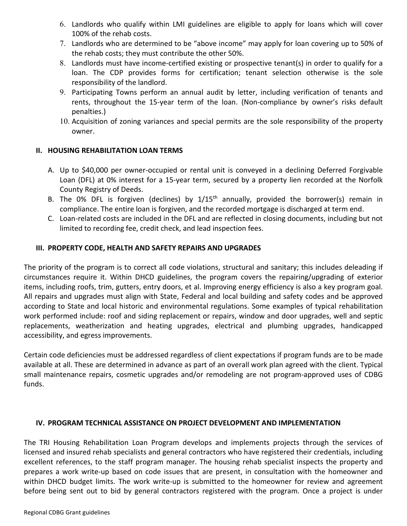- 6. Landlords who qualify within LMI guidelines are eligible to apply for loans which will cover 100% of the rehab costs.
- 7. Landlords who are determined to be "above income" may apply for loan covering up to 50% of the rehab costs; they must contribute the other 50%.
- 8. Landlords must have income-certified existing or prospective tenant(s) in order to qualify for a loan. The CDP provides forms for certification; tenant selection otherwise is the sole responsibility of the landlord.
- 9. Participating Towns perform an annual audit by letter, including verification of tenants and rents, throughout the 15-year term of the loan. (Non-compliance by owner's risks default penalties.)
- 10. Acquisition of zoning variances and special permits are the sole responsibility of the property owner.

#### **II. HOUSING REHABILITATION LOAN TERMS**

- A. Up to \$40,000 per owner-occupied or rental unit is conveyed in a declining Deferred Forgivable Loan (DFL) at 0% interest for a 15-year term, secured by a property lien recorded at the Norfolk County Registry of Deeds.
- B. The 0% DFL is forgiven (declines) by  $1/15<sup>th</sup>$  annually, provided the borrower(s) remain in compliance. The entire loan is forgiven, and the recorded mortgage is discharged at term end.
- C. Loan-related costs are included in the DFL and are reflected in closing documents, including but not limited to recording fee, credit check, and lead inspection fees.

#### **III. PROPERTY CODE, HEALTH AND SAFETY REPAIRS AND UPGRADES**

The priority of the program is to correct all code violations, structural and sanitary; this includes deleading if circumstances require it. Within DHCD guidelines, the program covers the repairing/upgrading of exterior items, including roofs, trim, gutters, entry doors, et al. Improving energy efficiency is also a key program goal. All repairs and upgrades must align with State, Federal and local building and safety codes and be approved according to State and local historic and environmental regulations. Some examples of typical rehabilitation work performed include: roof and siding replacement or repairs, window and door upgrades, well and septic replacements, weatherization and heating upgrades, electrical and plumbing upgrades, handicapped accessibility, and egress improvements.

Certain code deficiencies must be addressed regardless of client expectations if program funds are to be made available at all. These are determined in advance as part of an overall work plan agreed with the client. Typical small maintenance repairs, cosmetic upgrades and/or remodeling are not program-approved uses of CDBG funds.

#### **IV. PROGRAM TECHNICAL ASSISTANCE ON PROJECT DEVELOPMENT AND IMPLEMENTATION**

The TRI Housing Rehabilitation Loan Program develops and implements projects through the services of licensed and insured rehab specialists and general contractors who have registered their credentials, including excellent references, to the staff program manager. The housing rehab specialist inspects the property and prepares a work write-up based on code issues that are present, in consultation with the homeowner and within DHCD budget limits. The work write-up is submitted to the homeowner for review and agreement before being sent out to bid by general contractors registered with the program. Once a project is under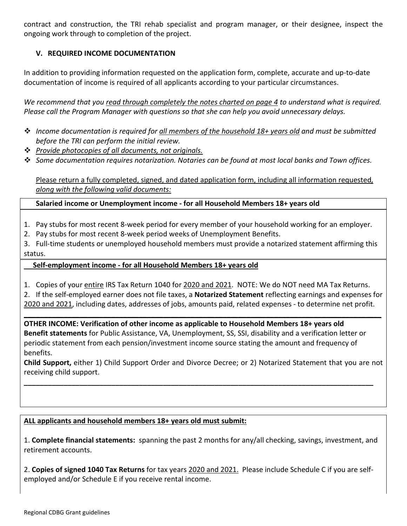contract and construction, the TRI rehab specialist and program manager, or their designee, inspect the ongoing work through to completion of the project.

#### **V. REQUIRED INCOME DOCUMENTATION**

In addition to providing information requested on the application form, complete, accurate and up-to-date documentation of income is required of all applicants according to your particular circumstances.

*We recommend that you read through completely the notes charted on page 4 to understand what is required. Please call the Program Manager with questions so that she can help you avoid unnecessary delays.* 

- *Income documentation is required for all members of the household 18+ years old and must be submitted before the TRI can perform the initial review.*
- *Provide photocopies of all documents, not originals.*
- *Some documentation requires notarization. Notaries can be found at most local banks and Town offices.*

Please return a fully completed, signed, and dated application form, including all information requested*, along with the following valid documents:*

#### **Salaried income or Unemployment income - for all Household Members 18+ years old**

- 1. Pay stubs for most recent 8-week period for every member of your household working for an employer.
- 2. Pay stubs for most recent 8-week period weeks of Unemployment Benefits.

3. Full-time students or unemployed household members must provide a notarized statement affirming this status.

#### **Self-employment income - for all Household Members 18+ years old**

1. Copies of your entire IRS Tax Return 1040 for 2020 and 2021. NOTE: We do NOT need MA Tax Returns.

2. If the self-employed earner does not file taxes, a **Notarized Statement** reflecting earnings and expenses for 2020 and 2021, including dates, addresses of jobs, amounts paid, related expenses - to determine net profit.

**\_\_\_\_\_\_\_\_\_\_\_\_\_\_\_\_\_\_\_\_\_\_\_\_\_\_\_\_\_\_\_\_\_\_\_\_\_\_\_\_\_\_\_\_\_\_\_\_\_\_\_\_\_\_\_\_\_\_\_\_\_\_\_\_\_\_\_\_\_\_\_\_\_\_\_\_\_\_\_\_\_\_\_\_\_\_\_\_\_\_ OTHER INCOME: Verification of other income as applicable to Household Members 18+ years old Benefit statements** for Public Assistance, VA, Unemployment, SS, SSI, disability and a verification letter or periodic statement from each pension/investment income source stating the amount and frequency of benefits.

**Child Support,** either 1) Child Support Order and Divorce Decree; or 2) Notarized Statement that you are not receiving child support.

**\_\_\_\_\_\_\_\_\_\_\_\_\_\_\_\_\_\_\_\_\_\_\_\_\_\_\_\_\_\_\_\_\_\_\_\_\_\_\_\_\_\_\_\_\_\_\_\_\_\_\_\_\_\_\_\_\_\_\_\_\_\_\_\_\_\_\_\_\_\_\_\_\_\_\_\_\_\_\_\_\_\_\_\_\_\_\_\_**

#### **ALL applicants and household members 18+ years old must submit:**

1. **Complete financial statements:** spanning the past 2 months for any/all checking, savings, investment, and retirement accounts.

2. **Copies of signed 1040 Tax Returns** for tax years 2020 and 2021. Please include Schedule C if you are selfemployed and/or Schedule E if you receive rental income.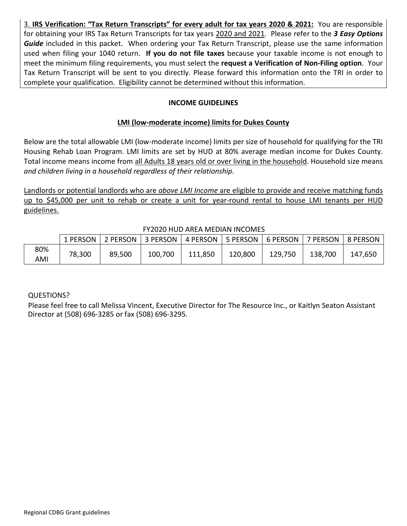3. **IRS Verification: "Tax Return Transcripts" for every adult for tax years 2020 & 2021:** You are responsible for obtaining your IRS Tax Return Transcripts for tax years 2020 and 2021. Please refer to the *3 Easy Options* Guide included in this packet. When ordering your Tax Return Transcript, please use the same information used when filing your 1040 return. **If you do not file taxes** because your taxable income is not enough to meet the minimum filing requirements, you must select the **request a Verification of Non-Filing option**. Your Tax Return Transcript will be sent to you directly. Please forward this information onto the TRI in order to complete your qualification. Eligibility cannot be determined without this information.

#### **INCOME GUIDELINES**

#### **LMI (low-moderate income) limits for Dukes County**

Below are the total allowable LMI (low-moderate income) limits per size of household for qualifying for the TRI Housing Rehab Loan Program. LMI limits are set by HUD at 80% average median income for Dukes County. Total income means income from all Adults 18 years old or over living in the household. Household size means *and children living in a household regardless of their relationship.*

Landlords or potential landlords who are *above LMI Income* are eligible to provide and receive matching funds up to \$45,000 per unit to rehab or create a unit for year-round rental to house LMI tenants per HUD guidelines.

|     | 1 PERSON | 2 PERSON   3 PERSON |         |         |         |         | 7 PERSON | 8 PERSON |
|-----|----------|---------------------|---------|---------|---------|---------|----------|----------|
| 80% | 78,300   | 89,500              | 100,700 | 111,850 | 120,800 | 129,750 | 138,700  | 147,650  |
| AMI |          |                     |         |         |         |         |          |          |

#### FY2020 HUD AREA MEDIAN INCOMES

#### QUESTIONS?

Please feel free to call Melissa Vincent, Executive Director for The Resource Inc., or Kaitlyn Seaton Assistant Director at (508) 696-3285 or fax (508) 696-3295.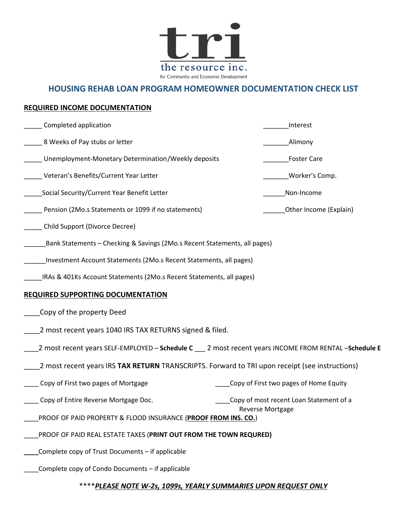

# **HOUSING REHAB LOAN PROGRAM HOMEOWNER DOCUMENTATION CHECK LIST**

#### **REQUIRED INCOME DOCUMENTATION**

| Completed application                                                                                 | Interest                                |
|-------------------------------------------------------------------------------------------------------|-----------------------------------------|
| 8 Weeks of Pay stubs or letter                                                                        | Alimony                                 |
| Unemployment-Monetary Determination/Weekly deposits                                                   | <b>Foster Care</b>                      |
| Veteran's Benefits/Current Year Letter                                                                | Worker's Comp.                          |
| Social Security/Current Year Benefit Letter                                                           | Non-Income                              |
| Pension (2Mo.s Statements or 1099 if no statements)                                                   | Other Income (Explain)                  |
| Child Support (Divorce Decree)                                                                        |                                         |
| Bank Statements - Checking & Savings (2Mo.s Recent Statements, all pages)                             |                                         |
| Investment Account Statements (2Mo.s Recent Statements, all pages)                                    |                                         |
| IRAs & 401Ks Account Statements (2Mo.s Recent Statements, all pages)                                  |                                         |
| <b>REQUIRED SUPPORTING DOCUMENTATION</b>                                                              |                                         |
| Copy of the property Deed                                                                             |                                         |
| 2 most recent years 1040 IRS TAX RETURNS signed & filed.                                              |                                         |
| 2 most recent years SELF-EMPLOYED - Schedule C ___ 2 most recent years INCOME FROM RENTAL -Schedule E |                                         |
| 2 most recent years IRS TAX RETURN TRANSCRIPTS. Forward to TRI upon receipt (see instructions)        |                                         |
| Copy of First two pages of Mortgage                                                                   | Copy of First two pages of Home Equity  |
| Copy of Entire Reverse Mortgage Doc.                                                                  | Copy of most recent Loan Statement of a |
| PROOF OF PAID PROPERTY & FLOOD INSURANCE (PROOF FROM INS. CO.)                                        | <b>Reverse Mortgage</b>                 |
| PROOF OF PAID REAL ESTATE TAXES (PRINT OUT FROM THE TOWN REQURED)                                     |                                         |
| Complete copy of Trust Documents - if applicable                                                      |                                         |
| Complete copy of Condo Documents - if applicable                                                      |                                         |

#### \*\*\*\**PLEASE NOTE W-2s, 1099s, YEARLY SUMMARIES UPON REQUEST ONLY*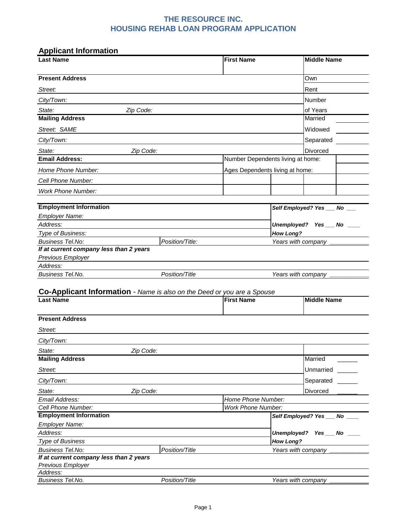## **THE RESOURCE INC. HOUSING REHAB LOAN PROGRAM APPLICATION**

| <b>Applicant Information</b>                                            |                 |                                                 |                    |                             |
|-------------------------------------------------------------------------|-----------------|-------------------------------------------------|--------------------|-----------------------------|
| <b>Last Name</b>                                                        |                 | <b>First Name</b>                               |                    | <b>Middle Name</b>          |
| <b>Present Address</b>                                                  |                 |                                                 |                    | Own                         |
| Street:                                                                 |                 |                                                 |                    | Rent                        |
| City/Town:                                                              |                 |                                                 |                    | Number                      |
| State:                                                                  | Zip Code:       |                                                 |                    | of Years                    |
| <b>Mailing Address</b>                                                  |                 |                                                 |                    | Married                     |
| Street: SAME                                                            |                 |                                                 |                    | Widowed                     |
|                                                                         |                 |                                                 |                    |                             |
| City/Town:                                                              |                 |                                                 |                    | Separated                   |
| State:<br><b>Email Address:</b>                                         | Zip Code:       | Number Dependents living at home:               |                    | Divorced                    |
|                                                                         |                 |                                                 |                    |                             |
| Home Phone Number:                                                      |                 | Ages Dependents living at home:                 |                    |                             |
| Cell Phone Number:                                                      |                 |                                                 |                    |                             |
| <b>Work Phone Number:</b>                                               |                 |                                                 |                    |                             |
| <b>Employment Information</b>                                           |                 |                                                 |                    | Self Employed? Yes __ No __ |
| <b>Employer Name:</b>                                                   |                 |                                                 |                    |                             |
| Address:                                                                |                 |                                                 |                    | Unemployed? Yes __ No ___   |
| Type of Business:                                                       |                 |                                                 | <b>How Long?</b>   |                             |
| <b>Business Tel.No:</b>                                                 | Position/Title: |                                                 | Years with company |                             |
| If at current company less than 2 years                                 |                 |                                                 |                    |                             |
| Previous Employer                                                       |                 |                                                 |                    |                             |
| Address:                                                                |                 |                                                 |                    |                             |
| <b>Business Tel.No.</b>                                                 | Position/Title  |                                                 | Years with company |                             |
| Co-Applicant Information - Name is also on the Deed or you are a Spouse |                 |                                                 |                    |                             |
| <b>Last Name</b>                                                        |                 | <b>First Name</b>                               |                    | <b>Middle Name</b>          |
|                                                                         |                 |                                                 |                    |                             |
| <b>Present Address</b>                                                  |                 |                                                 |                    |                             |
| Street:                                                                 |                 |                                                 |                    |                             |
| City/Town:                                                              |                 |                                                 |                    |                             |
| State:                                                                  | Zip Code:       |                                                 |                    |                             |
| <b>Mailing Address</b>                                                  |                 |                                                 |                    | Married                     |
|                                                                         |                 |                                                 |                    |                             |
| Street:                                                                 |                 |                                                 |                    | Unmarried                   |
| City/Town:                                                              |                 |                                                 |                    | Separated                   |
| State:                                                                  | Zip Code:       |                                                 |                    | Divorced                    |
| Email Address:<br>Cell Phone Number:                                    |                 | Home Phone Number:<br><b>Work Phone Number:</b> |                    |                             |
| <b>Employment Information</b>                                           |                 |                                                 |                    | Self Employed? Yes __ No __ |
| Employer Name:                                                          |                 |                                                 |                    |                             |
| Address:                                                                |                 |                                                 |                    | Unemployed? Yes __ No __    |
| <b>Type of Business</b>                                                 |                 |                                                 | <b>How Long?</b>   |                             |
| <b>Business Tel.No:</b>                                                 | Position/Title  |                                                 |                    | Years with company _        |
| If at current company less than 2 years                                 |                 |                                                 |                    |                             |
| Previous Employer                                                       |                 |                                                 |                    |                             |
| Address:                                                                |                 |                                                 |                    |                             |
| Business Tel.No.                                                        | Position/Title  |                                                 |                    | Years with company _        |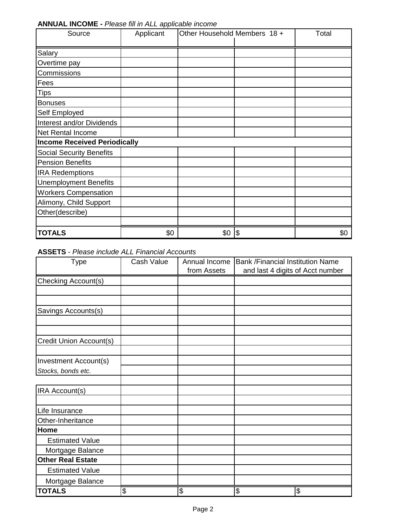| Source                              | $-$ -p- $-$<br>Applicant | Other Household Members 18 + |     | Total |
|-------------------------------------|--------------------------|------------------------------|-----|-------|
| Salary                              |                          |                              |     |       |
| Overtime pay                        |                          |                              |     |       |
| Commissions                         |                          |                              |     |       |
| Fees                                |                          |                              |     |       |
| <b>Tips</b>                         |                          |                              |     |       |
| <b>Bonuses</b>                      |                          |                              |     |       |
| Self Employed                       |                          |                              |     |       |
| Interest and/or Dividends           |                          |                              |     |       |
| <b>Net Rental Income</b>            |                          |                              |     |       |
| <b>Income Received Periodically</b> |                          |                              |     |       |
| <b>Social Security Benefits</b>     |                          |                              |     |       |
| <b>Pension Benefits</b>             |                          |                              |     |       |
| <b>IRA Redemptions</b>              |                          |                              |     |       |
| <b>Unemployment Benefits</b>        |                          |                              |     |       |
| <b>Workers Compensation</b>         |                          |                              |     |       |
| Alimony, Child Support              |                          |                              |     |       |
| Other(describe)                     |                          |                              |     |       |
|                                     |                          |                              |     |       |
| <b>TOTALS</b>                       | \$0                      | \$0                          | 1\$ | \$0   |

**ANNUAL INCOME -** *Please fill in ALL applicable income*

**ASSETS** - *Please include ALL Financial Accounts*

| <b>Type</b>              | Cash Value      | Annual Income | <b>Bank /Financial Institution Name</b> |    |
|--------------------------|-----------------|---------------|-----------------------------------------|----|
|                          |                 | from Assets   | and last 4 digits of Acct number        |    |
| Checking Account(s)      |                 |               |                                         |    |
|                          |                 |               |                                         |    |
|                          |                 |               |                                         |    |
| Savings Accounts(s)      |                 |               |                                         |    |
|                          |                 |               |                                         |    |
| Credit Union Account(s)  |                 |               |                                         |    |
|                          |                 |               |                                         |    |
| Investment Account(s)    |                 |               |                                         |    |
| Stocks, bonds etc.       |                 |               |                                         |    |
|                          |                 |               |                                         |    |
| IRA Account(s)           |                 |               |                                         |    |
|                          |                 |               |                                         |    |
| Life Insurance           |                 |               |                                         |    |
| Other-Inheritance        |                 |               |                                         |    |
| Home                     |                 |               |                                         |    |
| <b>Estimated Value</b>   |                 |               |                                         |    |
| Mortgage Balance         |                 |               |                                         |    |
| <b>Other Real Estate</b> |                 |               |                                         |    |
| <b>Estimated Value</b>   |                 |               |                                         |    |
| Mortgage Balance         |                 |               |                                         |    |
| <b>TOTALS</b>            | $\overline{\$}$ | \$            | $\overline{\$}$                         | \$ |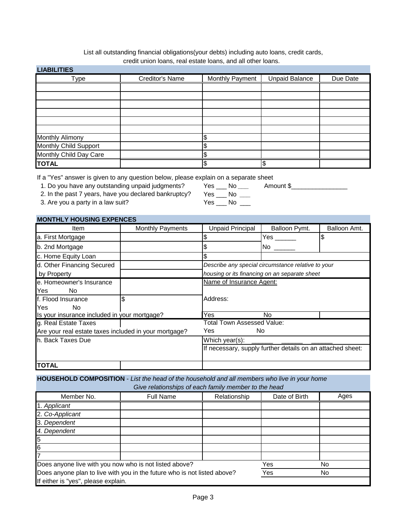#### credit union loans, real estate loans, and all other loans. List all outstanding financial obligations(your debts) including auto loans, credit cards,

| <b>LIABILITIES</b>     |                 |                 |                       |          |
|------------------------|-----------------|-----------------|-----------------------|----------|
| Type                   | Creditor's Name | Monthly Payment | <b>Unpaid Balance</b> | Due Date |
|                        |                 |                 |                       |          |
|                        |                 |                 |                       |          |
|                        |                 |                 |                       |          |
|                        |                 |                 |                       |          |
|                        |                 |                 |                       |          |
|                        |                 |                 |                       |          |
| <b>Monthly Alimony</b> |                 |                 |                       |          |
| Monthly Child Support  |                 |                 |                       |          |
| Monthly Child Day Care |                 |                 |                       |          |
| <b>TOTAL</b>           |                 | ሖ               |                       |          |

If a "Yes" answer is given to any question below, please explain on a separate sheet

1. Do you have any outstanding unpaid judgments? Yes \_\_\_ No *\_\_\_* Amount \$\_\_\_\_\_\_\_\_\_\_\_\_\_\_\_\_

2. In the past 7 years, have you declared bankruptcy?

3. Are you a party in a law suit? The Messeng Messengle Communication of the Vesquare North Messengle Communication of the Vesquare North Messengle Communication of the Vesquare North Messengle Communication of the Vesquar

| <b>MONTHLY HOUSING EXPENCES</b>                       |                         |                                   |                                                            |              |
|-------------------------------------------------------|-------------------------|-----------------------------------|------------------------------------------------------------|--------------|
| Item                                                  | <b>Monthly Payments</b> | Unpaid Principal                  | Balloon Pymt.                                              | Balloon Amt. |
| a. First Mortgage                                     |                         |                                   | Yes                                                        | \$           |
| b. 2nd Mortgage                                       |                         |                                   | No                                                         |              |
| c. Home Equity Loan                                   |                         |                                   |                                                            |              |
| d. Other Financing Secured                            |                         |                                   | Describe any special circumstance relative to your         |              |
| by Property                                           |                         |                                   | housing or its financing on an separate sheet              |              |
| e. Homeowner's Insurance<br>Yes<br>No.                |                         | Name of Insurance Agent:          |                                                            |              |
| f. Flood Insurance<br>Yes<br><b>No</b>                | \$                      | Address:                          |                                                            |              |
| Is your insurance included in your mortgage?          |                         | Yes                               | No                                                         |              |
| g. Real Estate Taxes                                  |                         | <b>Total Town Assessed Value:</b> |                                                            |              |
| Are your real estate taxes included in your mortgage? |                         | Yes                               | No.                                                        |              |
| h. Back Taxes Due                                     |                         | Which year(s):                    |                                                            |              |
|                                                       |                         |                                   | If necessary, supply further details on an attached sheet: |              |
| <b>TOTAL</b>                                          |                         |                                   |                                                            |              |

**HOUSEHOLD COMPOSITION** - *List the head of the household and all members who live in your home Give relationships of each family member to the head*

|                                                                          | Give relationships of each lamily member to the nead |              |               |      |
|--------------------------------------------------------------------------|------------------------------------------------------|--------------|---------------|------|
| Member No.                                                               | <b>Full Name</b>                                     | Relationship | Date of Birth | Ages |
| 1. Applicant                                                             |                                                      |              |               |      |
| 2. Co-Applicant                                                          |                                                      |              |               |      |
| 3. Dependent                                                             |                                                      |              |               |      |
| 4. Dependent                                                             |                                                      |              |               |      |
| 5                                                                        |                                                      |              |               |      |
| 6                                                                        |                                                      |              |               |      |
|                                                                          |                                                      |              |               |      |
| Does anyone live with you now who is not listed above?                   |                                                      |              | Yes           | No   |
| Does anyone plan to live with you in the future who is not listed above? |                                                      |              | Yes           | No   |
| If either is "yes", please explain.                                      |                                                      |              |               |      |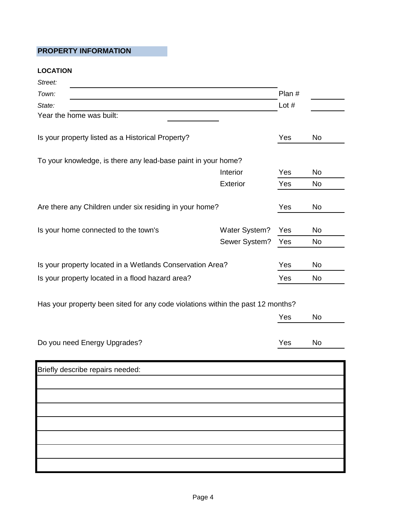## **PROPERTY INFORMATION**

#### **LOCATION**

| Street:                                                                         |               |         |           |
|---------------------------------------------------------------------------------|---------------|---------|-----------|
| Town:                                                                           |               | Plan #  |           |
| State:                                                                          |               | Lot $#$ |           |
| Year the home was built:                                                        |               |         |           |
| Is your property listed as a Historical Property?                               |               | Yes     | No        |
| To your knowledge, is there any lead-base paint in your home?                   |               |         |           |
|                                                                                 | Interior      | Yes     | <b>No</b> |
|                                                                                 | Exterior      | Yes     | <b>No</b> |
| Are there any Children under six residing in your home?                         |               | Yes     | No        |
| Is your home connected to the town's                                            | Water System? | Yes     | <b>No</b> |
|                                                                                 | Sewer System? | Yes     | <b>No</b> |
| Is your property located in a Wetlands Conservation Area?                       |               | Yes     | <b>No</b> |
| Is your property located in a flood hazard area?                                |               | Yes     | <b>No</b> |
| Has your property been sited for any code violations within the past 12 months? |               |         |           |
|                                                                                 |               | Yes     | <b>No</b> |
| Do you need Energy Upgrades?                                                    |               | Yes     | No        |
| Briefly describe repairs needed:                                                |               |         |           |
|                                                                                 |               |         |           |
|                                                                                 |               |         |           |
|                                                                                 |               |         |           |
|                                                                                 |               |         |           |
|                                                                                 |               |         |           |
|                                                                                 |               |         |           |
|                                                                                 |               |         |           |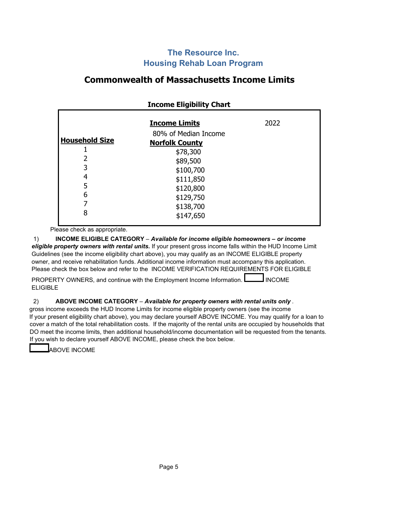## **The Resource Inc. Housing Rehab Loan Program**

# **Commonwealth of Massachusetts Income Limits**

|                       | <b>Income Eligibility Chart</b>               |      |
|-----------------------|-----------------------------------------------|------|
|                       | <b>Income Limits</b>                          | 2022 |
| <b>Household Size</b> | 80% of Median Income<br><b>Norfolk County</b> |      |
| 2                     | \$78,300<br>\$89,500                          |      |
| 3<br>4                | \$100,700<br>\$111,850                        |      |
| 5<br>6                | \$120,800<br>\$129,750                        |      |
| 7<br>8                | \$138,700<br>\$147,650                        |      |

Please check as appropriate.

1) **INCOME ELIGIBLE CATEGORY** – *Available for income eligible homeowners – or income eligible property owners with rental units.* If your present gross income falls within the HUD Income Limit Guidelines (see the income eligibility chart above), you may qualify as an INCOME ELIGIBLE property owner, and receive rehabilitation funds. Additional income information must accompany this application. Please check the box below and refer to the INCOME VERIFICATION REQUIREMENTS FOR ELIGIBLE

PROPERTY OWNERS, and continue with the Employment Income Information.  $\Box$  INCOME ELIGIBLE

#### 2) **ABOVE INCOME CATEGORY** – *Available for property owners with rental units only .*

gross income exceeds the HUD Income Limits for income eligible property owners (see the income If your present eligibility chart above), you may declare yourself ABOVE INCOME. You may qualify for a loan to cover a match of the total rehabilitation costs. If the majority of the rental units are occupied by households that DO meet the income limits, then additional household/income documentation will be requested from the tenants. If you wish to declare yourself ABOVE INCOME, please check the box below.

ABOVE INCOME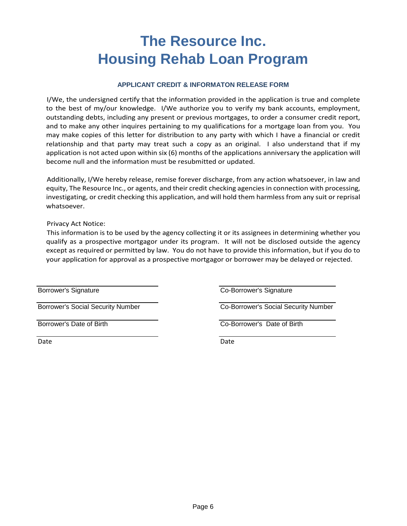# **The Resource Inc. Housing Rehab Loan Program**

#### **APPLICANT CREDIT & INFORMATON RELEASE FORM**

I/We, the undersigned certify that the information provided in the application is true and complete to the best of my/our knowledge. I/We authorize you to verify my bank accounts, employment, outstanding debts, including any present or previous mortgages, to order a consumer credit report, and to make any other inquires pertaining to my qualifications for a mortgage loan from you. You may make copies of this letter for distribution to any party with which I have a financial or credit relationship and that party may treat such a copy as an original. I also understand that if my application is not acted upon within six (6) months of the applications anniversary the application will become null and the information must be resubmitted or updated.

Additionally, I/We hereby release, remise forever discharge, from any action whatsoever, in law and equity, The Resource Inc., or agents, and their credit checking agencies in connection with processing, investigating, or credit checking this application, and will hold them harmless from any suit or reprisal whatsoever.

Privacy Act Notice:

This information is to be used by the agency collecting it or its assignees in determining whether you qualify as a prospective mortgagor under its program. It will not be disclosed outside the agency except as required or permitted by law. You do not have to provide this information, but if you do to your application for approval as a prospective mortgagor or borrower may be delayed or rejected.

Date **Date** Date **Date** Date **Date** Date **Date** 

Borrower's Signature **Co-Borrower's Signature** 

Borrower's Social Security Number Co-Borrower's Social Security Number

Borrower's Date of Birth Co-Borrower's Date of Birth Co-Borrower's Date of Birth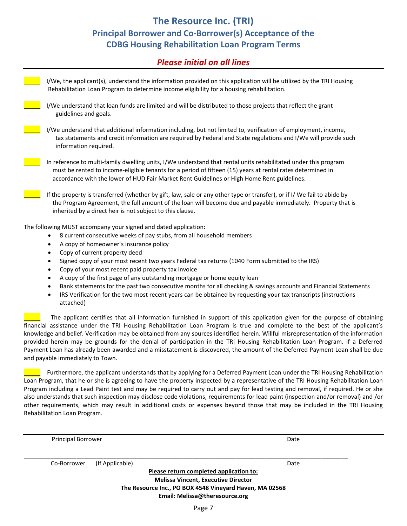# **The Resource Inc. (TRI) Principal Borrower and Co-Borrower(s) Acceptance of the CDBG Housing Rehabilitation Loan Program Terms**

## *Please initial on all lines*

| I/We, the applicant(s), understand the information provided on this application will be utilized by the TRI Housing<br>Rehabilitation Loan Program to determine income eligibility for a housing rehabilitation.                                                                                                            |
|-----------------------------------------------------------------------------------------------------------------------------------------------------------------------------------------------------------------------------------------------------------------------------------------------------------------------------|
| I/We understand that loan funds are limited and will be distributed to those projects that reflect the grant<br>guidelines and goals.                                                                                                                                                                                       |
| I/We understand that additional information including, but not limited to, verification of employment, income,<br>tax statements and credit information are required by Federal and State regulations and I/We will provide such<br>information required.                                                                   |
| In reference to multi-family dwelling units, I/We understand that rental units rehabilitated under this program<br>must be rented to income-eligible tenants for a period of fifteen (15) years at rental rates determined in<br>accordance with the lower of HUD Fair Market Rent Guidelines or High Home Rent guidelines. |
| If the property is transferred (whether by gift, law, sale or any other type or transfer), or if I/ We fail to abide by<br>the Program Agreement, the full amount of the loan will become due and payable immediately. Property that is<br>inherited by a direct heir is not subject to this clause.                        |
| The following MUST accompany your signed and dated application:                                                                                                                                                                                                                                                             |
| 8 current consecutive weeks of pay stubs, from all household members<br>٠                                                                                                                                                                                                                                                   |
| A copy of homeowner's insurance policy<br>$\bullet$                                                                                                                                                                                                                                                                         |
| Copy of current property deed<br>$\bullet$                                                                                                                                                                                                                                                                                  |
| Signed copy of your most recent two years Federal tax returns (1040 Form submitted to the IRS)<br>٠                                                                                                                                                                                                                         |
| Copy of your most recent paid property tax invoice<br>٠                                                                                                                                                                                                                                                                     |
| A copy of the first page of any outstanding mortgage or home equity loan<br>$\bullet$                                                                                                                                                                                                                                       |
| Bank statements for the past two consecutive months for all checking & savings accounts and Financial Statements<br>٠<br>IRS Verification for the two most recent years can be obtained by requesting your tax transcripts (instructions<br>٠<br>attached)                                                                  |
| The applicant certifies that all information furnished in support of this application given for the purpose of obtaining                                                                                                                                                                                                    |
| financial assistance under the TRI Housing Rehabilitation Loan Program is true and complete to the best of the applicant's                                                                                                                                                                                                  |

knowledge and belief. Verification may be obtained from any sources identified herein. Willful misrepresentation of the information provided herein may be grounds for the denial of participation in the TRI Housing Rehabilitation Loan Program. If a Deferred Payment Loan has already been awarded and a misstatement is discovered, the amount of the Deferred Payment Loan shall be due and payable immediately to Town.

Furthermore, the applicant understands that by applying for a Deferred Payment Loan under the TRI Housing Rehabilitation Loan Program, that he or she is agreeing to have the property inspected by a representative of the TRI Housing Rehabilitation Loan Program including a Lead Paint test and may be required to carry out and pay for lead testing and removal, if required. He or she also understands that such inspection may disclose code violations, requirements for lead paint (inspection and/or removal) and /or other requirements, which may result in additional costs or expenses beyond those that may be included in the TRI Housing Rehabilitation Loan Program.

| <b>Principal Borrower</b> |                                                         | Date |
|---------------------------|---------------------------------------------------------|------|
| Co-Borrower               | (If Applicable)                                         | Date |
|                           | Please return completed application to:                 |      |
|                           | <b>Melissa Vincent, Executive Director</b>              |      |
|                           | The Resource Inc., PO BOX 4548 Vineyard Haven, MA 02568 |      |
|                           | Email: Melissa@theresource.org                          |      |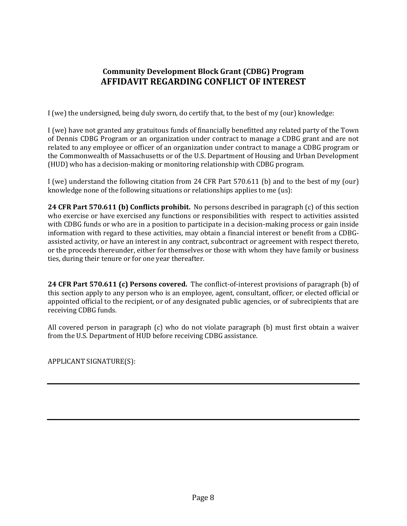# **Community Development Block Grant (CDBG) Program AFFIDAVIT REGARDING CONFLICT OF INTEREST**

I (we) the undersigned, being duly sworn, do certify that, to the best of my (our) knowledge:

I (we) have not granted any gratuitous funds of financially benefitted any related party of the Town of Dennis CDBG Program or an organization under contract to manage a CDBG grant and are not related to any employee or officer of an organization under contract to manage a CDBG program or the Commonwealth of Massachusetts or of the U.S. Department of Housing and Urban Development (HUD) who has a decision-making or monitoring relationship with CDBG program.

I (we) understand the following citation from 24 CFR Part 570.611 (b) and to the best of my (our) knowledge none of the following situations or relationships applies to me (us):

**24 CFR Part 570.611 (b) Conflicts prohibit.** No persons described in paragraph (c) of this section who exercise or have exercised any functions or responsibilities with respect to activities assisted with CDBG funds or who are in a position to participate in a decision-making process or gain inside information with regard to these activities, may obtain a financial interest or benefit from a CDBGassisted activity, or have an interest in any contract, subcontract or agreement with respect thereto, or the proceeds thereunder, either for themselves or those with whom they have family or business ties, during their tenure or for one year thereafter.

**24 CFR Part 570.611 (c) Persons covered.** The conflict-of-interest provisions of paragraph (b) of this section apply to any person who is an employee, agent, consultant, officer, or elected official or appointed official to the recipient, or of any designated public agencies, or of subrecipients that are receiving CDBG funds.

All covered person in paragraph (c) who do not violate paragraph (b) must first obtain a waiver from the U.S. Department of HUD before receiving CDBG assistance.

APPLICANT SIGNATURE(S):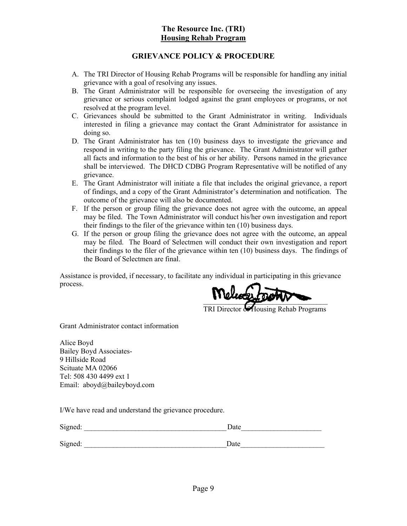#### **The Resource Inc. (TRI) Housing Rehab Program**

#### **GRIEVANCE POLICY & PROCEDURE**

- A. The TRI Director of Housing Rehab Programs will be responsible for handling any initial grievance with a goal of resolving any issues.
- B. The Grant Administrator will be responsible for overseeing the investigation of any grievance or serious complaint lodged against the grant employees or programs, or not resolved at the program level.
- C. Grievances should be submitted to the Grant Administrator in writing. Individuals interested in filing a grievance may contact the Grant Administrator for assistance in doing so.
- D. The Grant Administrator has ten (10) business days to investigate the grievance and respond in writing to the party filing the grievance. The Grant Administrator will gather all facts and information to the best of his or her ability. Persons named in the grievance shall be interviewed. The DHCD CDBG Program Representative will be notified of any grievance.
- E. The Grant Administrator will initiate a file that includes the original grievance, a report of findings, and a copy of the Grant Administrator's determination and notification. The outcome of the grievance will also be documented.
- F. If the person or group filing the grievance does not agree with the outcome, an appeal may be filed. The Town Administrator will conduct his/her own investigation and report their findings to the filer of the grievance within ten (10) business days.
- G. If the person or group filing the grievance does not agree with the outcome, an appeal may be filed. The Board of Selectmen will conduct their own investigation and report their findings to the filer of the grievance within ten (10) business days. The findings of the Board of Selectmen are final.

Assistance is provided, if necessary, to facilitate any individual in participating in this grievance process.

 $\frac{1}{2}$ 

TRI Director of Housing Rehab Programs

Grant Administrator contact information

Alice Boyd Bailey Boyd Associates-9 Hillside Road Scituate MA 02066 Tel: 508 430 4499 ext 1 Email: aboyd@baileyboyd.com

I/We have read and understand the grievance procedure.

| Signed: | Date |
|---------|------|
| Signed: | Date |